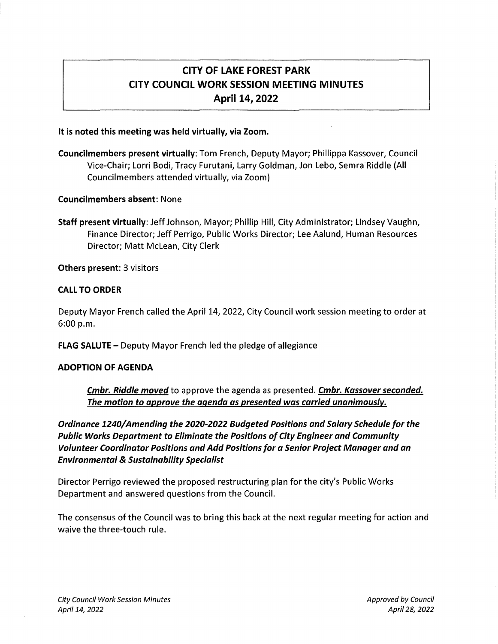# CITY OF LAKE FOREST PARK CITY COUNCIL WORK SESSION MEETING MINUTES April 14, 2022

#### It is noted this meeting was held virtually, via Zoom.

Councilmembers present virtually: Tom French, Deputy Mayor; Phillippa Kassover, Council Vice-Chair; Lorri Bodi, Tracy Furutani, Larry Goldman, Jon Lebo, Semra Riddle (All Councilmembers attended virtually, via Zoom)

### Councilmembers absent: None

Staff present virtually: Jeff Johnson, Mayor; Phillip Hill, City Administrator; Lindsey Vaughn, Finance Director; Jeff Perrigo, Public Works Director; Lee Aalund, Human Resources Director; Matt Mclean, City Clerk

Others present: 3 visitors

### CALL TO ORDER

Deputy Mayor French called the April 14, 2022, City Council work session meeting to order at 6:00 p.m.

FLAG SALUTE - Deputy Mayor French led the pledge of allegiance

## ADOPTION OF AGENDA

Cmbr. Riddle moved to approve the agenda as presented. Cmbr. Kassover seconded. The motion to approve the agenda as presented was carried unanimously.

Ordinance 1240/ Amending the 2020-2022 Budgeted Positions and Salary Schedule for the Public Works Department to Eliminate the Positions of City Engineer and Community Volunteer Coordinator Positions and Add Positions for a Senior Project Manager and an Environmental & Sustainability Specialist

Director Perrigo reviewed the proposed restructuring plan for the city's Public Works Department and answered questions from the Council.

The consensus of the Council was to bring this back at the next regular meeting for action and waive the three-touch rule.